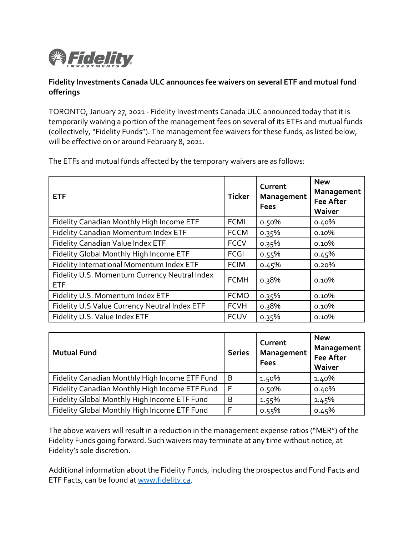

## **Fidelity Investments Canada ULC announces fee waivers on several ETF and mutual fund offerings**

TORONTO, January 27, 2021 - Fidelity Investments Canada ULC announced today that it is temporarily waiving a portion of the management fees on several of its ETFs and mutual funds (collectively, "Fidelity Funds"). The management fee waivers for these funds, as listed below, will be effective on or around February 8, 2021.

| The ETFs and mutual funds affected by the temporary waivers are as follows: |  |  |
|-----------------------------------------------------------------------------|--|--|
|                                                                             |  |  |

| <b>ETF</b>                                                  | <b>Ticker</b> | Current<br>Management<br><b>Fees</b> | <b>New</b><br>Management<br><b>Fee After</b><br>Waiver |
|-------------------------------------------------------------|---------------|--------------------------------------|--------------------------------------------------------|
| Fidelity Canadian Monthly High Income ETF                   | <b>FCMI</b>   | 0.50%                                | 0.40%                                                  |
| <b>Fidelity Canadian Momentum Index ETF</b>                 | <b>FCCM</b>   | 0.35%                                | 0.10%                                                  |
| Fidelity Canadian Value Index ETF                           | <b>FCCV</b>   | 0.35%                                | 0.10%                                                  |
| Fidelity Global Monthly High Income ETF                     | <b>FCGI</b>   | 0.55%                                | 0.45%                                                  |
| Fidelity International Momentum Index ETF                   | <b>FCIM</b>   | 0.45%                                | 0.20%                                                  |
| Fidelity U.S. Momentum Currency Neutral Index<br><b>ETF</b> | <b>FCMH</b>   | 0.38%                                | 0.10%                                                  |
| Fidelity U.S. Momentum Index ETF                            | <b>FCMO</b>   | 0.35%                                | 0.10%                                                  |
| Fidelity U.S Value Currency Neutral Index ETF               | <b>FCVH</b>   | 0.38%                                | 0.10%                                                  |
| Fidelity U.S. Value Index ETF                               | <b>FCUV</b>   | 0.35%                                | 0.10%                                                  |

| <b>Mutual Fund</b>                             | <b>Series</b> | Current<br>Management<br><b>Fees</b> | <b>New</b><br>Management<br><b>Fee After</b><br>Waiver |
|------------------------------------------------|---------------|--------------------------------------|--------------------------------------------------------|
| Fidelity Canadian Monthly High Income ETF Fund | B             | 1.50%                                | 1.40%                                                  |
| Fidelity Canadian Monthly High Income ETF Fund | -F            | 0.50%                                | 0.40%                                                  |
| Fidelity Global Monthly High Income ETF Fund   | B             | 1.55%                                | 1.45%                                                  |
| Fidelity Global Monthly High Income ETF Fund   | F             | 0.55%                                | 0.45%                                                  |

The above waivers will result in a reduction in the management expense ratios ("MER") of the Fidelity Funds going forward. Such waivers may terminate at any time without notice, at Fidelity's sole discretion.

Additional information about the Fidelity Funds, including the prospectus and Fund Facts and ETF Facts, can be found at [www.fidelity.ca.](http://www.fidelity.ca/)